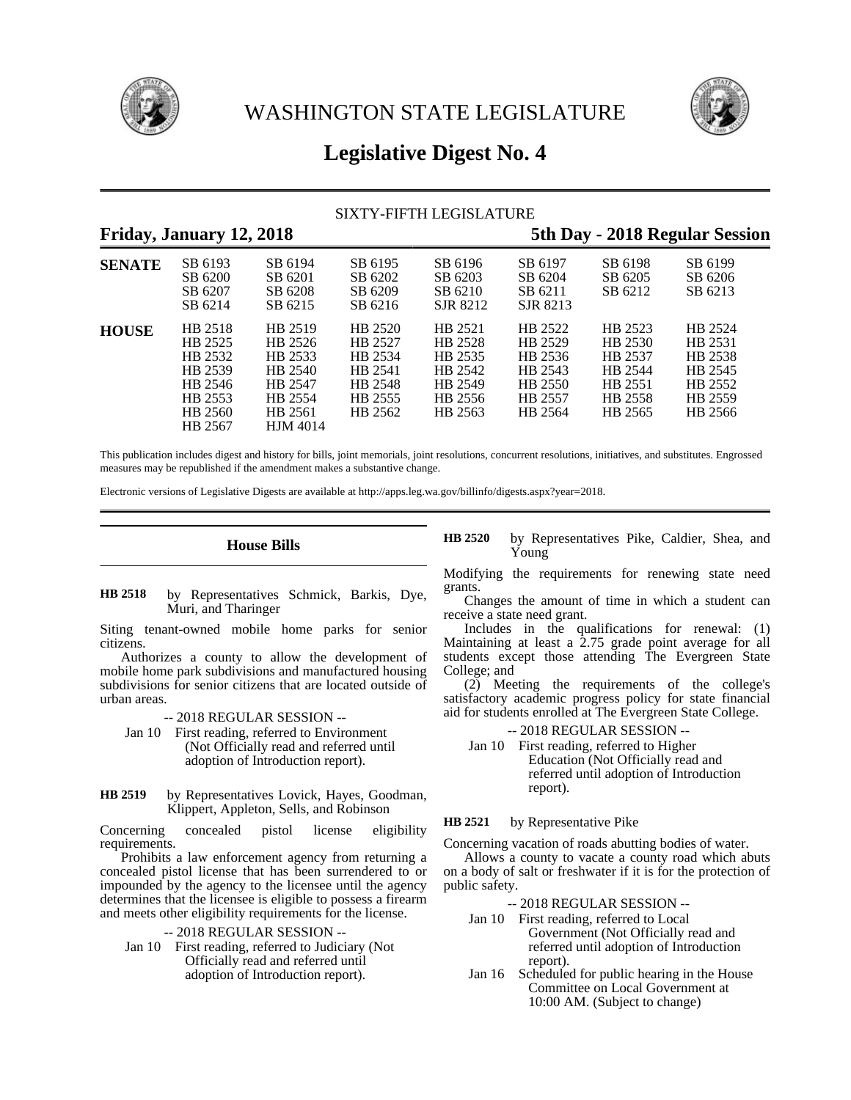



# **Legislative Digest No. 4**

# SIXTY-FIFTH LEGISLATURE

# **Friday, January 12, 2018 5th Day - 2018 Regular Session SENATE** SB 6193 SB 6194 SB 6195 SB 6196 SB 6197 SB 6198 SB 6199 SB 6200 SB 6201 SB 6202 SB 6203 SB 6204 SB 6205 SB 6206 SB 6207 SB 6208 SB 6209 SB 6210 SB 6211 SB 6212 SB 6213 SB 6207 SB 6208 SB 6209 SB 6210 SB 6211<br>SB 6214 SB 6215 SB 6216 SJR 8212 SJR 8213 **HOUSE** HB 2518 HB 2519 HB 2520 HB 2521 HB 2522 HB 2523 HB 2524 HB 2525 HB 2526 HB 2527 HB 2528 HB 2529 HB 2530 HB 2531 HB 2532 HB 2533 HB 2534 HB 2535 HB 2536 HB 2537 HB 2538 HB 2539 HB 2540 HB 2541 HB 2542 HB 2543 HB 2544 HB 2545 HB 2546 HB 2547 HB 2548 HB 2549 HB 2550 HB 2551 HB 2552 HB 2553 HB 2554 HB 2555 HB 2556 HB 2557 HB 2558 HB 2559 HB 2560 HB 2561 HB 2562 HB 2563 HB 2564 HB 2565 HB 2566 HB 2567 HJM 4014

This publication includes digest and history for bills, joint memorials, joint resolutions, concurrent resolutions, initiatives, and substitutes. Engrossed measures may be republished if the amendment makes a substantive change.

Electronic versions of Legislative Digests are available at http://apps.leg.wa.gov/billinfo/digests.aspx?year=2018.

# **House Bills**

### by Representatives Schmick, Barkis, Dye, Muri, and Tharinger **HB 2518**

Siting tenant-owned mobile home parks for senior citizens.

Authorizes a county to allow the development of mobile home park subdivisions and manufactured housing subdivisions for senior citizens that are located outside of urban areas.

-- 2018 REGULAR SESSION --

- Jan 10 First reading, referred to Environment (Not Officially read and referred until adoption of Introduction report).
- by Representatives Lovick, Hayes, Goodman, Klippert, Appleton, Sells, and Robinson **HB 2519**

Concerning concealed pistol license eligibility requirements.

Prohibits a law enforcement agency from returning a concealed pistol license that has been surrendered to or impounded by the agency to the licensee until the agency determines that the licensee is eligible to possess a firearm and meets other eligibility requirements for the license.

- -- 2018 REGULAR SESSION --
- Jan 10 First reading, referred to Judiciary (Not Officially read and referred until adoption of Introduction report).

by Representatives Pike, Caldier, Shea, and Young **HB 2520**

Modifying the requirements for renewing state need grants.

Changes the amount of time in which a student can receive a state need grant.

Includes in the qualifications for renewal: (1) Maintaining at least a 2.75 grade point average for all students except those attending The Evergreen State College; and

(2) Meeting the requirements of the college's satisfactory academic progress policy for state financial aid for students enrolled at The Evergreen State College.

### -- 2018 REGULAR SESSION --

Jan 10 First reading, referred to Higher Education (Not Officially read and referred until adoption of Introduction report).

by Representative Pike **HB 2521**

Concerning vacation of roads abutting bodies of water.

Allows a county to vacate a county road which abuts on a body of salt or freshwater if it is for the protection of public safety.

-- 2018 REGULAR SESSION --

- Jan 10 First reading, referred to Local Government (Not Officially read and referred until adoption of Introduction report).
- Jan 16 Scheduled for public hearing in the House Committee on Local Government at 10:00 AM. (Subject to change)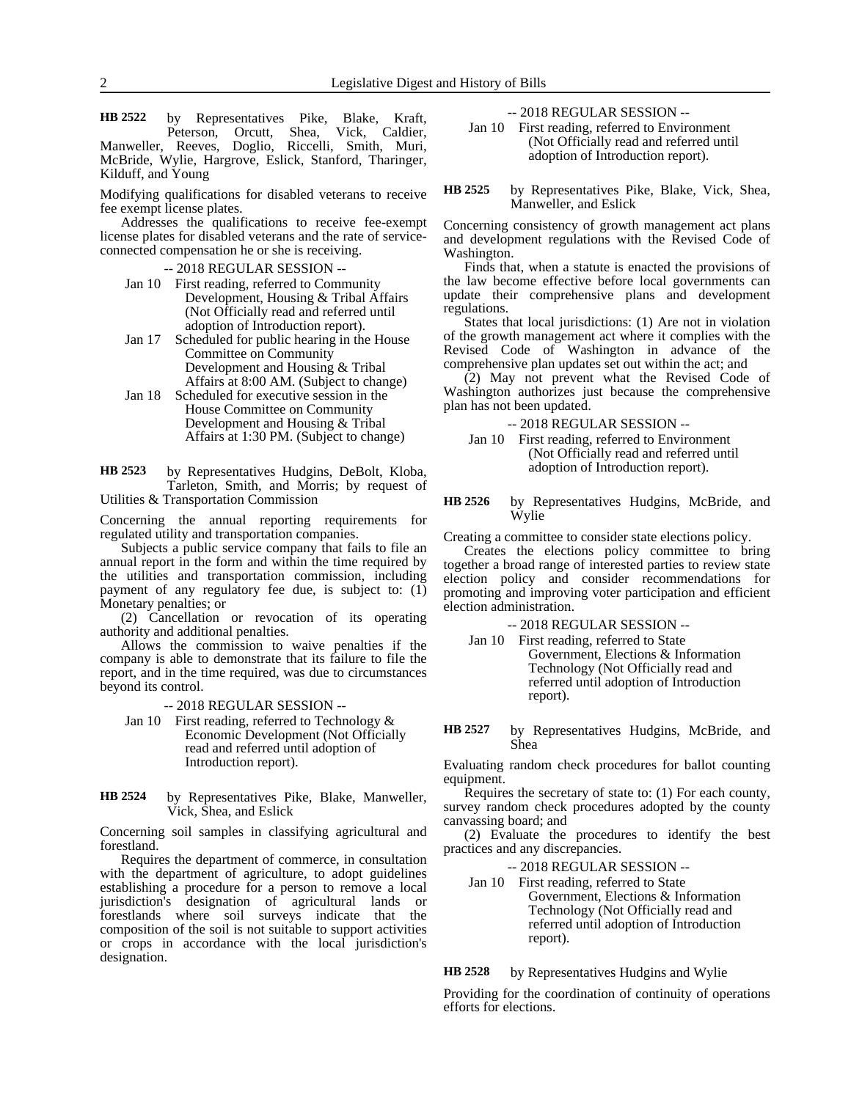by Representatives Pike, Blake, Kraft, Peterson, Orcutt, Shea, Vick, Caldier, Manweller, Reeves, Doglio, Riccelli, Smith, Muri, McBride, Wylie, Hargrove, Eslick, Stanford, Tharinger, Kilduff, and Young **HB 2522**

Modifying qualifications for disabled veterans to receive fee exempt license plates.

Addresses the qualifications to receive fee-exempt license plates for disabled veterans and the rate of serviceconnected compensation he or she is receiving.

-- 2018 REGULAR SESSION --

- Jan 10 First reading, referred to Community Development, Housing & Tribal Affairs (Not Officially read and referred until adoption of Introduction report).
- Jan 17 Scheduled for public hearing in the House Committee on Community Development and Housing & Tribal Affairs at 8:00 AM. (Subject to change)
- Jan 18 Scheduled for executive session in the House Committee on Community Development and Housing & Tribal Affairs at 1:30 PM. (Subject to change)

by Representatives Hudgins, DeBolt, Kloba, Tarleton, Smith, and Morris; by request of Utilities & Transportation Commission **HB 2523**

Concerning the annual reporting requirements for regulated utility and transportation companies.

Subjects a public service company that fails to file an annual report in the form and within the time required by the utilities and transportation commission, including payment of any regulatory fee due, is subject to: (1) Monetary penalties; or

(2) Cancellation or revocation of its operating authority and additional penalties.

Allows the commission to waive penalties if the company is able to demonstrate that its failure to file the report, and in the time required, was due to circumstances beyond its control.

-- 2018 REGULAR SESSION --

- Jan 10 First reading, referred to Technology & Economic Development (Not Officially read and referred until adoption of Introduction report).
- by Representatives Pike, Blake, Manweller, Vick, Shea, and Eslick **HB 2524**

Concerning soil samples in classifying agricultural and forestland.

Requires the department of commerce, in consultation with the department of agriculture, to adopt guidelines establishing a procedure for a person to remove a local jurisdiction's designation of agricultural lands or forestlands where soil surveys indicate that the composition of the soil is not suitable to support activities or crops in accordance with the local jurisdiction's designation.

-- 2018 REGULAR SESSION --

Jan 10 First reading, referred to Environment (Not Officially read and referred until adoption of Introduction report).

by Representatives Pike, Blake, Vick, Shea, Manweller, and Eslick **HB 2525**

Concerning consistency of growth management act plans and development regulations with the Revised Code of Washington.

Finds that, when a statute is enacted the provisions of the law become effective before local governments can update their comprehensive plans and development regulations.

States that local jurisdictions: (1) Are not in violation of the growth management act where it complies with the Revised Code of Washington in advance of the comprehensive plan updates set out within the act; and

(2) May not prevent what the Revised Code of Washington authorizes just because the comprehensive plan has not been updated.

-- 2018 REGULAR SESSION --

Jan 10 First reading, referred to Environment (Not Officially read and referred until adoption of Introduction report).

by Representatives Hudgins, McBride, and Wylie **HB 2526**

Creating a committee to consider state elections policy.

Creates the elections policy committee to bring together a broad range of interested parties to review state election policy and consider recommendations for promoting and improving voter participation and efficient election administration.

-- 2018 REGULAR SESSION --

- Jan 10 First reading, referred to State Government, Elections & Information Technology (Not Officially read and referred until adoption of Introduction report).
- by Representatives Hudgins, McBride, and Shea **HB 2527**

Evaluating random check procedures for ballot counting equipment.

Requires the secretary of state to: (1) For each county, survey random check procedures adopted by the county canvassing board; and

(2) Evaluate the procedures to identify the best practices and any discrepancies.

-- 2018 REGULAR SESSION --

Jan 10 First reading, referred to State Government, Elections & Information Technology (Not Officially read and referred until adoption of Introduction report).

by Representatives Hudgins and Wylie **HB 2528**

Providing for the coordination of continuity of operations efforts for elections.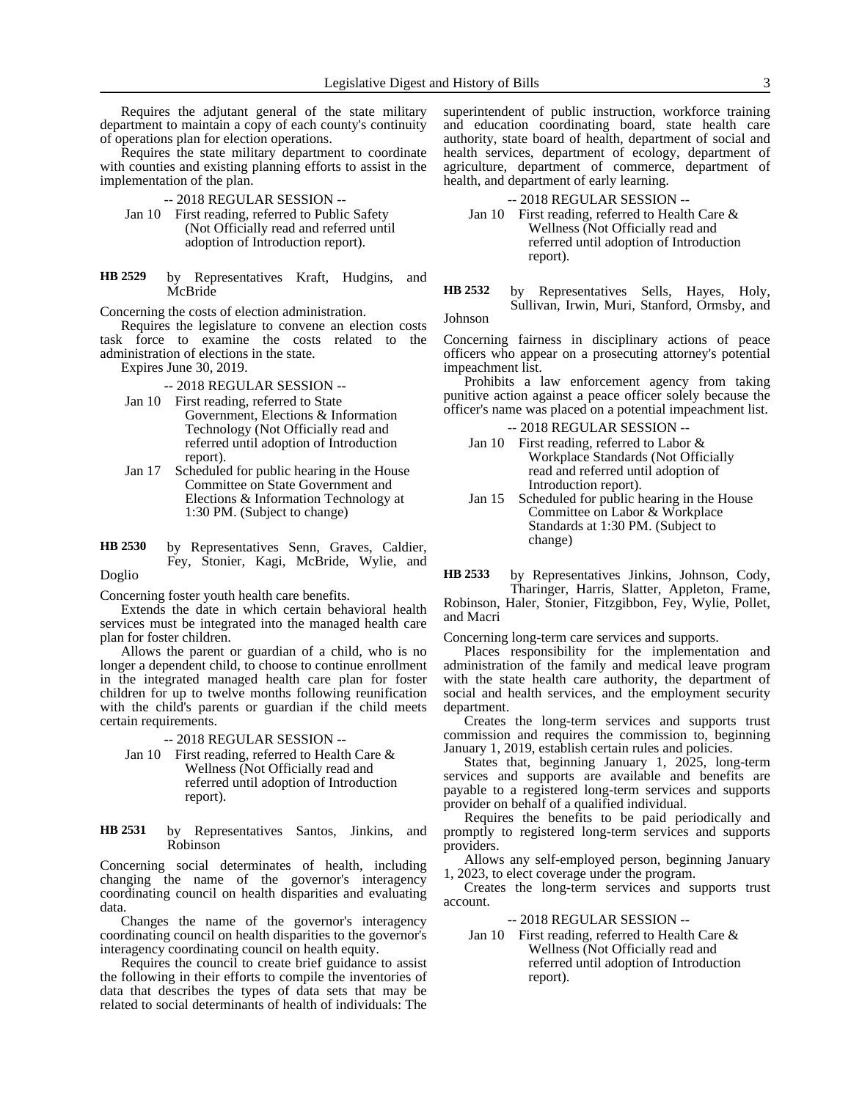Requires the adjutant general of the state military department to maintain a copy of each county's continuity of operations plan for election operations.

Requires the state military department to coordinate with counties and existing planning efforts to assist in the implementation of the plan.

- -- 2018 REGULAR SESSION --
- Jan 10 First reading, referred to Public Safety (Not Officially read and referred until adoption of Introduction report).
- by Representatives Kraft, Hudgins, and McBride **HB 2529**

Concerning the costs of election administration.

Requires the legislature to convene an election costs task force to examine the costs related to the administration of elections in the state.

Expires June 30, 2019.

- -- 2018 REGULAR SESSION --
- Jan 10 First reading, referred to State Government, Elections & Information Technology (Not Officially read and referred until adoption of Introduction report).
- Jan 17 Scheduled for public hearing in the House Committee on State Government and Elections & Information Technology at 1:30 PM. (Subject to change)
- by Representatives Senn, Graves, Caldier, Fey, Stonier, Kagi, McBride, Wylie, and Doglio **HB 2530**

Concerning foster youth health care benefits.

Extends the date in which certain behavioral health services must be integrated into the managed health care plan for foster children.

Allows the parent or guardian of a child, who is no longer a dependent child, to choose to continue enrollment in the integrated managed health care plan for foster children for up to twelve months following reunification with the child's parents or guardian if the child meets certain requirements.

-- 2018 REGULAR SESSION --

- Jan 10 First reading, referred to Health Care & Wellness (Not Officially read and referred until adoption of Introduction report).
- by Representatives Santos, Jinkins, and Robinson **HB 2531**

Concerning social determinates of health, including changing the name of the governor's interagency coordinating council on health disparities and evaluating data

Changes the name of the governor's interagency coordinating council on health disparities to the governor's interagency coordinating council on health equity.

Requires the council to create brief guidance to assist the following in their efforts to compile the inventories of data that describes the types of data sets that may be related to social determinants of health of individuals: The superintendent of public instruction, workforce training and education coordinating board, state health care authority, state board of health, department of social and health services, department of ecology, department of agriculture, department of commerce, department of health, and department of early learning.

-- 2018 REGULAR SESSION --

- Jan 10 First reading, referred to Health Care & Wellness (Not Officially read and referred until adoption of Introduction report).
- by Representatives Sells, Hayes, Holy, Sullivan, Irwin, Muri, Stanford, Ormsby, and **HB 2532**

Johnson

Concerning fairness in disciplinary actions of peace officers who appear on a prosecuting attorney's potential impeachment list.

Prohibits a law enforcement agency from taking punitive action against a peace officer solely because the officer's name was placed on a potential impeachment list.

- -- 2018 REGULAR SESSION --
- Jan 10 First reading, referred to Labor & Workplace Standards (Not Officially read and referred until adoption of Introduction report).
- Jan 15 Scheduled for public hearing in the House Committee on Labor & Workplace Standards at 1:30 PM. (Subject to change)

by Representatives Jinkins, Johnson, Cody, Tharinger, Harris, Slatter, Appleton, Frame, Robinson, Haler, Stonier, Fitzgibbon, Fey, Wylie, Pollet, and Macri **HB 2533**

Concerning long-term care services and supports.

Places responsibility for the implementation and administration of the family and medical leave program with the state health care authority, the department of social and health services, and the employment security department.

Creates the long-term services and supports trust commission and requires the commission to, beginning January 1, 2019, establish certain rules and policies.

States that, beginning January 1, 2025, long-term services and supports are available and benefits are payable to a registered long-term services and supports provider on behalf of a qualified individual.

Requires the benefits to be paid periodically and promptly to registered long-term services and supports providers.

Allows any self-employed person, beginning January 1, 2023, to elect coverage under the program.

Creates the long-term services and supports trust account.

-- 2018 REGULAR SESSION --

Jan 10 First reading, referred to Health Care & Wellness (Not Officially read and referred until adoption of Introduction report).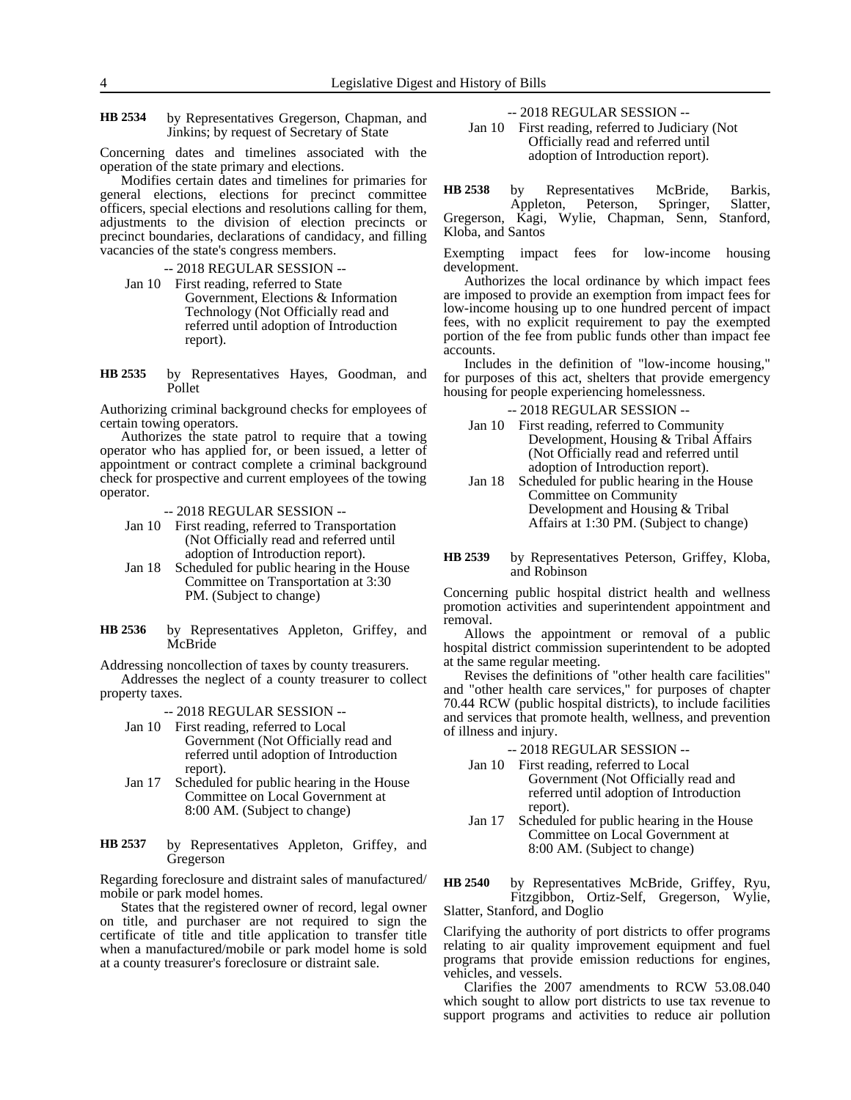Kloba, and Santos

#### by Representatives Gregerson, Chapman, and Jinkins; by request of Secretary of State **HB 2534**

Concerning dates and timelines associated with the operation of the state primary and elections.

Modifies certain dates and timelines for primaries for general elections, elections for precinct committee officers, special elections and resolutions calling for them, adjustments to the division of election precincts or precinct boundaries, declarations of candidacy, and filling vacancies of the state's congress members.

-- 2018 REGULAR SESSION --

Jan 10 First reading, referred to State Government, Elections & Information Technology (Not Officially read and referred until adoption of Introduction report).

by Representatives Hayes, Goodman, and Pollet **HB 2535**

Authorizing criminal background checks for employees of certain towing operators.

Authorizes the state patrol to require that a towing operator who has applied for, or been issued, a letter of appointment or contract complete a criminal background check for prospective and current employees of the towing operator.

-- 2018 REGULAR SESSION --

- Jan 10 First reading, referred to Transportation (Not Officially read and referred until adoption of Introduction report).
- Jan 18 Scheduled for public hearing in the House Committee on Transportation at 3:30 PM. (Subject to change)
- by Representatives Appleton, Griffey, and McBride **HB 2536**

Addressing noncollection of taxes by county treasurers. Addresses the neglect of a county treasurer to collect

property taxes.

-- 2018 REGULAR SESSION --

- Jan 10 First reading, referred to Local Government (Not Officially read and referred until adoption of Introduction report).
- Jan 17 Scheduled for public hearing in the House Committee on Local Government at 8:00 AM. (Subject to change)
- by Representatives Appleton, Griffey, and Gregerson **HB 2537**

Regarding foreclosure and distraint sales of manufactured/ mobile or park model homes.

States that the registered owner of record, legal owner on title, and purchaser are not required to sign the certificate of title and title application to transfer title when a manufactured/mobile or park model home is sold at a county treasurer's foreclosure or distraint sale.

-- 2018 REGULAR SESSION --

Jan 10 First reading, referred to Judiciary (Not Officially read and referred until adoption of Introduction report).

by Representatives McBride, Barkis, Appleton, Peterson, Springer, Slatter, Gregerson, Kagi, Wylie, Chapman, Senn, Stanford, **HB 2538**

Exempting impact fees for low-income housing development.

Authorizes the local ordinance by which impact fees are imposed to provide an exemption from impact fees for low-income housing up to one hundred percent of impact fees, with no explicit requirement to pay the exempted portion of the fee from public funds other than impact fee accounts.

Includes in the definition of "low-income housing," for purposes of this act, shelters that provide emergency housing for people experiencing homelessness.

-- 2018 REGULAR SESSION --

- Jan 10 First reading, referred to Community Development, Housing & Tribal Affairs (Not Officially read and referred until adoption of Introduction report).
- Jan 18 Scheduled for public hearing in the House Committee on Community Development and Housing & Tribal Affairs at 1:30 PM. (Subject to change)
- by Representatives Peterson, Griffey, Kloba, and Robinson **HB 2539**

Concerning public hospital district health and wellness promotion activities and superintendent appointment and removal.

Allows the appointment or removal of a public hospital district commission superintendent to be adopted at the same regular meeting.

Revises the definitions of "other health care facilities" and "other health care services," for purposes of chapter 70.44 RCW (public hospital districts), to include facilities and services that promote health, wellness, and prevention of illness and injury.

-- 2018 REGULAR SESSION --

- Jan 10 First reading, referred to Local Government (Not Officially read and referred until adoption of Introduction report).
- Jan 17 Scheduled for public hearing in the House Committee on Local Government at 8:00 AM. (Subject to change)

by Representatives McBride, Griffey, Ryu, Fitzgibbon, Ortiz-Self, Gregerson, Wylie, Slatter, Stanford, and Doglio **HB 2540**

Clarifying the authority of port districts to offer programs relating to air quality improvement equipment and fuel programs that provide emission reductions for engines, vehicles, and vessels.

Clarifies the 2007 amendments to RCW 53.08.040 which sought to allow port districts to use tax revenue to support programs and activities to reduce air pollution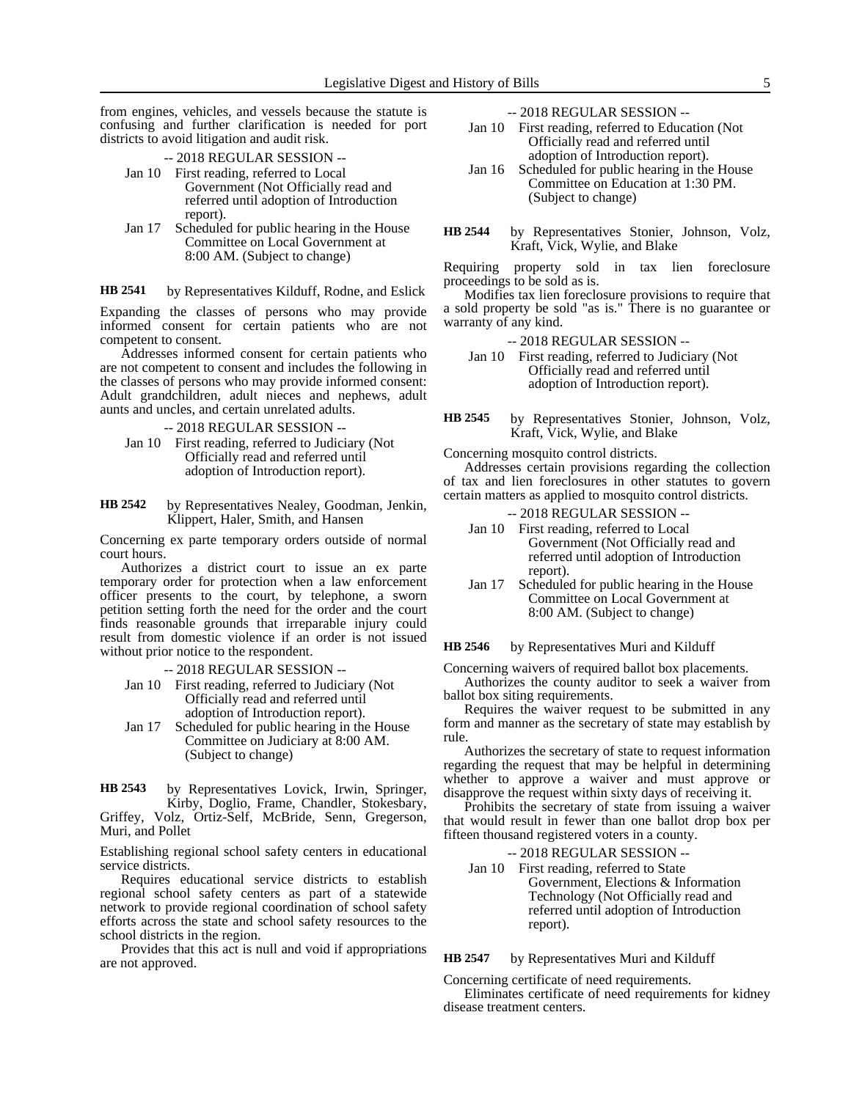from engines, vehicles, and vessels because the statute is confusing and further clarification is needed for port districts to avoid litigation and audit risk.

-- 2018 REGULAR SESSION --

- Jan 10 First reading, referred to Local Government (Not Officially read and referred until adoption of Introduction report).
- Jan 17 Scheduled for public hearing in the House Committee on Local Government at 8:00 AM. (Subject to change)

by Representatives Kilduff, Rodne, and Eslick **HB 2541**

Expanding the classes of persons who may provide informed consent for certain patients who are not competent to consent.

Addresses informed consent for certain patients who are not competent to consent and includes the following in the classes of persons who may provide informed consent: Adult grandchildren, adult nieces and nephews, adult aunts and uncles, and certain unrelated adults.

- -- 2018 REGULAR SESSION --
- Jan 10 First reading, referred to Judiciary (Not Officially read and referred until adoption of Introduction report).

### by Representatives Nealey, Goodman, Jenkin, Klippert, Haler, Smith, and Hansen **HB 2542**

Concerning ex parte temporary orders outside of normal court hours.

Authorizes a district court to issue an ex parte temporary order for protection when a law enforcement officer presents to the court, by telephone, a sworn petition setting forth the need for the order and the court finds reasonable grounds that irreparable injury could result from domestic violence if an order is not issued without prior notice to the respondent.

-- 2018 REGULAR SESSION --

- Jan 10 First reading, referred to Judiciary (Not Officially read and referred until adoption of Introduction report).
- Jan 17 Scheduled for public hearing in the House Committee on Judiciary at 8:00 AM. (Subject to change)

by Representatives Lovick, Irwin, Springer, Kirby, Doglio, Frame, Chandler, Stokesbary, Griffey, Volz, Ortiz-Self, McBride, Senn, Gregerson, Muri, and Pollet **HB 2543**

Establishing regional school safety centers in educational service districts.

Requires educational service districts to establish regional school safety centers as part of a statewide network to provide regional coordination of school safety efforts across the state and school safety resources to the school districts in the region.

Provides that this act is null and void if appropriations are not approved.

-- 2018 REGULAR SESSION --

- Jan 10 First reading, referred to Education (Not Officially read and referred until adoption of Introduction report).
- Jan 16 Scheduled for public hearing in the House Committee on Education at 1:30 PM. (Subject to change)
- by Representatives Stonier, Johnson, Volz, Kraft, Vick, Wylie, and Blake **HB 2544**

Requiring property sold in tax lien foreclosure proceedings to be sold as is.

Modifies tax lien foreclosure provisions to require that a sold property be sold "as is." There is no guarantee or warranty of any kind.

- -- 2018 REGULAR SESSION --
- Jan 10 First reading, referred to Judiciary (Not Officially read and referred until adoption of Introduction report).
- by Representatives Stonier, Johnson, Volz, Kraft, Vick, Wylie, and Blake **HB 2545**

Concerning mosquito control districts.

Addresses certain provisions regarding the collection of tax and lien foreclosures in other statutes to govern certain matters as applied to mosquito control districts.

-- 2018 REGULAR SESSION --

- Jan 10 First reading, referred to Local Government (Not Officially read and referred until adoption of Introduction report).
- Jan 17 Scheduled for public hearing in the House Committee on Local Government at 8:00 AM. (Subject to change)

by Representatives Muri and Kilduff **HB 2546**

Concerning waivers of required ballot box placements. Authorizes the county auditor to seek a waiver from

ballot box siting requirements. Requires the waiver request to be submitted in any form and manner as the secretary of state may establish by rule.

Authorizes the secretary of state to request information regarding the request that may be helpful in determining whether to approve a waiver and must approve or disapprove the request within sixty days of receiving it.

Prohibits the secretary of state from issuing a waiver that would result in fewer than one ballot drop box per fifteen thousand registered voters in a county.

| --2018 REGULAR SESSION -- |                                         |
|---------------------------|-----------------------------------------|
|                           | Jan 10 First reading, referred to State |
|                           | Government, Elections & Information     |
|                           | Technology (Not Officially read and     |
|                           | referred until adoption of Introduction |
|                           | report).                                |

by Representatives Muri and Kilduff **HB 2547**

Concerning certificate of need requirements.

Eliminates certificate of need requirements for kidney disease treatment centers.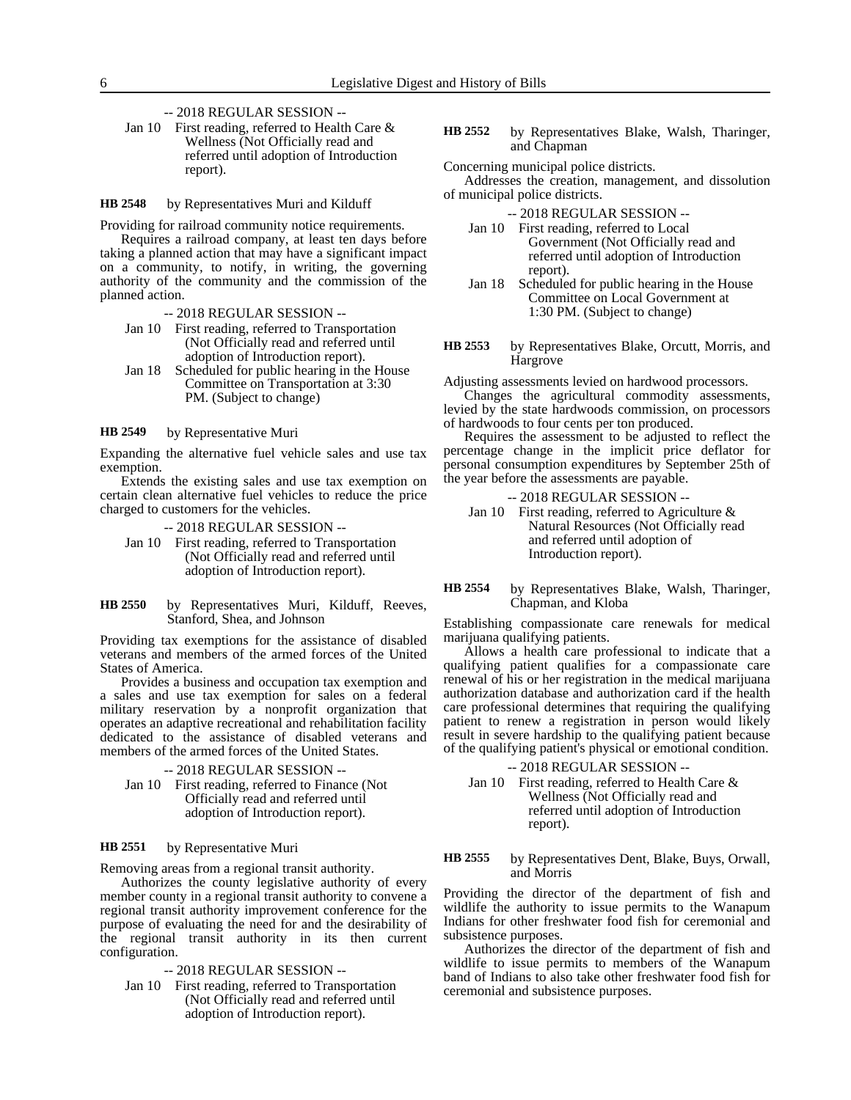# -- 2018 REGULAR SESSION --

Jan 10 First reading, referred to Health Care & Wellness (Not Officially read and referred until adoption of Introduction report).

by Representatives Muri and Kilduff **HB 2548**

Providing for railroad community notice requirements.

Requires a railroad company, at least ten days before taking a planned action that may have a significant impact on a community, to notify, in writing, the governing authority of the community and the commission of the planned action.

-- 2018 REGULAR SESSION --

- Jan 10 First reading, referred to Transportation (Not Officially read and referred until adoption of Introduction report).
- Jan 18 Scheduled for public hearing in the House Committee on Transportation at 3:30 PM. (Subject to change)

#### by Representative Muri **HB 2549**

Expanding the alternative fuel vehicle sales and use tax exemption.

Extends the existing sales and use tax exemption on certain clean alternative fuel vehicles to reduce the price charged to customers for the vehicles.

-- 2018 REGULAR SESSION --

- Jan 10 First reading, referred to Transportation (Not Officially read and referred until adoption of Introduction report).
- by Representatives Muri, Kilduff, Reeves, Stanford, Shea, and Johnson **HB 2550**

Providing tax exemptions for the assistance of disabled veterans and members of the armed forces of the United States of America.

Provides a business and occupation tax exemption and a sales and use tax exemption for sales on a federal military reservation by a nonprofit organization that operates an adaptive recreational and rehabilitation facility dedicated to the assistance of disabled veterans and members of the armed forces of the United States.

-- 2018 REGULAR SESSION -- Jan 10 First reading, referred to Finance (Not Officially read and referred until adoption of Introduction report).

#### by Representative Muri **HB 2551**

Removing areas from a regional transit authority.

Authorizes the county legislative authority of every member county in a regional transit authority to convene a regional transit authority improvement conference for the purpose of evaluating the need for and the desirability of the regional transit authority in its then current configuration.

### -- 2018 REGULAR SESSION --

Jan 10 First reading, referred to Transportation (Not Officially read and referred until adoption of Introduction report).

by Representatives Blake, Walsh, Tharinger, and Chapman **HB 2552**

Concerning municipal police districts.

Addresses the creation, management, and dissolution of municipal police districts.

-- 2018 REGULAR SESSION --

- Jan 10 First reading, referred to Local Government (Not Officially read and referred until adoption of Introduction report).
- Jan 18 Scheduled for public hearing in the House Committee on Local Government at 1:30 PM. (Subject to change)
- by Representatives Blake, Orcutt, Morris, and Hargrove **HB 2553**

Adjusting assessments levied on hardwood processors.

Changes the agricultural commodity assessments, levied by the state hardwoods commission, on processors of hardwoods to four cents per ton produced.

Requires the assessment to be adjusted to reflect the percentage change in the implicit price deflator for personal consumption expenditures by September 25th of the year before the assessments are payable.

- -- 2018 REGULAR SESSION --
- Jan 10 First reading, referred to Agriculture & Natural Resources (Not Officially read and referred until adoption of Introduction report).

### by Representatives Blake, Walsh, Tharinger, Chapman, and Kloba **HB 2554**

Establishing compassionate care renewals for medical marijuana qualifying patients.

Allows a health care professional to indicate that a qualifying patient qualifies for a compassionate care renewal of his or her registration in the medical marijuana authorization database and authorization card if the health care professional determines that requiring the qualifying patient to renew a registration in person would likely result in severe hardship to the qualifying patient because of the qualifying patient's physical or emotional condition.

### -- 2018 REGULAR SESSION --

Jan 10 First reading, referred to Health Care & Wellness (Not Officially read and referred until adoption of Introduction report).

by Representatives Dent, Blake, Buys, Orwall, and Morris **HB 2555**

Providing the director of the department of fish and wildlife the authority to issue permits to the Wanapum Indians for other freshwater food fish for ceremonial and subsistence purposes.

Authorizes the director of the department of fish and wildlife to issue permits to members of the Wanapum band of Indians to also take other freshwater food fish for ceremonial and subsistence purposes.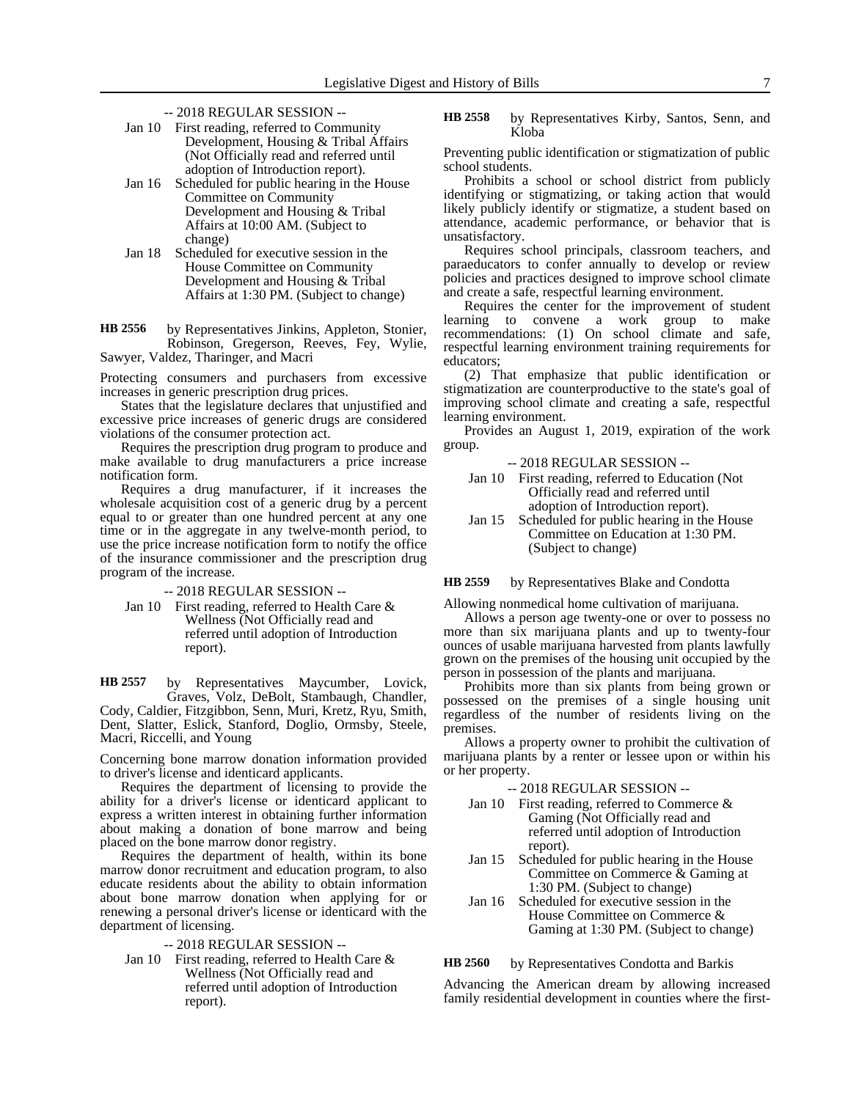- -- 2018 REGULAR SESSION --
- Jan 10 First reading, referred to Community Development, Housing & Tribal Affairs (Not Officially read and referred until adoption of Introduction report).
- Jan 16 Scheduled for public hearing in the House Committee on Community Development and Housing & Tribal Affairs at 10:00 AM. (Subject to change)
- Jan 18 Scheduled for executive session in the House Committee on Community Development and Housing & Tribal Affairs at 1:30 PM. (Subject to change)

by Representatives Jinkins, Appleton, Stonier, Robinson, Gregerson, Reeves, Fey, Wylie, Sawyer, Valdez, Tharinger, and Macri **HB 2556**

Protecting consumers and purchasers from excessive increases in generic prescription drug prices.

States that the legislature declares that unjustified and excessive price increases of generic drugs are considered violations of the consumer protection act.

Requires the prescription drug program to produce and make available to drug manufacturers a price increase notification form.

Requires a drug manufacturer, if it increases the wholesale acquisition cost of a generic drug by a percent equal to or greater than one hundred percent at any one time or in the aggregate in any twelve-month period, to use the price increase notification form to notify the office of the insurance commissioner and the prescription drug program of the increase.

-- 2018 REGULAR SESSION --

Jan 10 First reading, referred to Health Care & Wellness (Not Officially read and referred until adoption of Introduction report).

by Representatives Maycumber, Lovick, Graves, Volz, DeBolt, Stambaugh, Chandler, Cody, Caldier, Fitzgibbon, Senn, Muri, Kretz, Ryu, Smith, Dent, Slatter, Eslick, Stanford, Doglio, Ormsby, Steele, Macri, Riccelli, and Young **HB 2557**

Concerning bone marrow donation information provided to driver's license and identicard applicants.

Requires the department of licensing to provide the ability for a driver's license or identicard applicant to express a written interest in obtaining further information about making a donation of bone marrow and being placed on the bone marrow donor registry.

Requires the department of health, within its bone marrow donor recruitment and education program, to also educate residents about the ability to obtain information about bone marrow donation when applying for or renewing a personal driver's license or identicard with the department of licensing.

-- 2018 REGULAR SESSION --

Jan 10 First reading, referred to Health Care & Wellness (Not Officially read and referred until adoption of Introduction report).

by Representatives Kirby, Santos, Senn, and Kloba **HB 2558**

Preventing public identification or stigmatization of public school students.

Prohibits a school or school district from publicly identifying or stigmatizing, or taking action that would likely publicly identify or stigmatize, a student based on attendance, academic performance, or behavior that is unsatisfactory.

Requires school principals, classroom teachers, and paraeducators to confer annually to develop or review policies and practices designed to improve school climate and create a safe, respectful learning environment.

Requires the center for the improvement of student learning to convene a work group to make recommendations: (1) On school climate and safe, respectful learning environment training requirements for educators;

(2) That emphasize that public identification or stigmatization are counterproductive to the state's goal of improving school climate and creating a safe, respectful learning environment.

Provides an August 1, 2019, expiration of the work group.

-- 2018 REGULAR SESSION --

- Jan 10 First reading, referred to Education (Not Officially read and referred until adoption of Introduction report).
- Jan 15 Scheduled for public hearing in the House Committee on Education at 1:30 PM. (Subject to change)

by Representatives Blake and Condotta **HB 2559**

Allowing nonmedical home cultivation of marijuana.

Allows a person age twenty-one or over to possess no more than six marijuana plants and up to twenty-four ounces of usable marijuana harvested from plants lawfully grown on the premises of the housing unit occupied by the person in possession of the plants and marijuana.

Prohibits more than six plants from being grown or possessed on the premises of a single housing unit regardless of the number of residents living on the premises.

Allows a property owner to prohibit the cultivation of marijuana plants by a renter or lessee upon or within his or her property.

-- 2018 REGULAR SESSION --

- Jan 10 First reading, referred to Commerce & Gaming (Not Officially read and referred until adoption of Introduction report).
- Jan 15 Scheduled for public hearing in the House Committee on Commerce & Gaming at 1:30 PM. (Subject to change)
- Jan 16 Scheduled for executive session in the House Committee on Commerce & Gaming at 1:30 PM. (Subject to change)

by Representatives Condotta and Barkis **HB 2560**

Advancing the American dream by allowing increased family residential development in counties where the first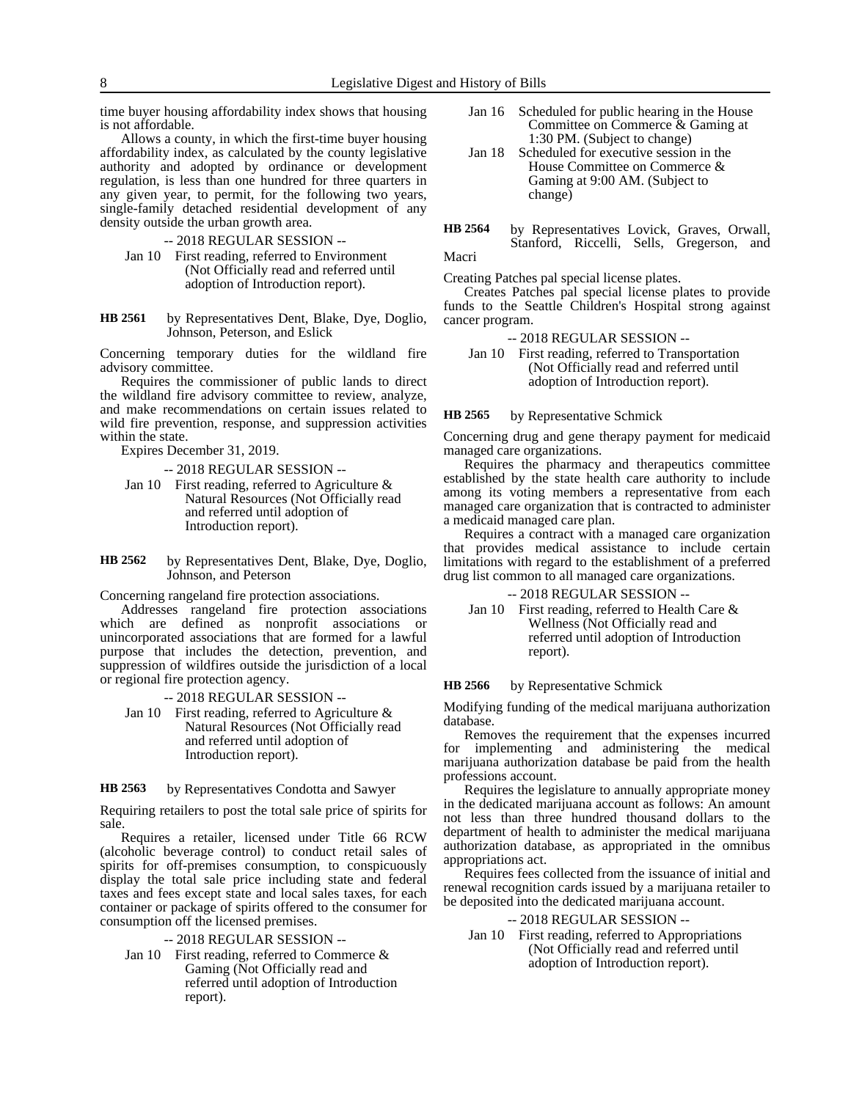time buyer housing affordability index shows that housing is not affordable.

Allows a county, in which the first-time buyer housing affordability index, as calculated by the county legislative authority and adopted by ordinance or development regulation, is less than one hundred for three quarters in any given year, to permit, for the following two years, single-family detached residential development of any density outside the urban growth area.

-- 2018 REGULAR SESSION --

Jan 10 First reading, referred to Environment (Not Officially read and referred until adoption of Introduction report).

by Representatives Dent, Blake, Dye, Doglio, Johnson, Peterson, and Eslick **HB 2561**

Concerning temporary duties for the wildland fire advisory committee.

Requires the commissioner of public lands to direct the wildland fire advisory committee to review, analyze, and make recommendations on certain issues related to wild fire prevention, response, and suppression activities within the state.

Expires December 31, 2019.

-- 2018 REGULAR SESSION --

- Jan 10 First reading, referred to Agriculture & Natural Resources (Not Officially read and referred until adoption of Introduction report).
- by Representatives Dent, Blake, Dye, Doglio, Johnson, and Peterson **HB 2562**

Concerning rangeland fire protection associations.

Addresses rangeland fire protection associations which are defined as nonprofit associations or unincorporated associations that are formed for a lawful purpose that includes the detection, prevention, and suppression of wildfires outside the jurisdiction of a local or regional fire protection agency.

-- 2018 REGULAR SESSION --

Jan 10 First reading, referred to Agriculture & Natural Resources (Not Officially read and referred until adoption of Introduction report).

#### by Representatives Condotta and Sawyer **HB 2563**

Requiring retailers to post the total sale price of spirits for sale.

Requires a retailer, licensed under Title 66 RCW (alcoholic beverage control) to conduct retail sales of spirits for off-premises consumption, to conspicuously display the total sale price including state and federal taxes and fees except state and local sales taxes, for each container or package of spirits offered to the consumer for consumption off the licensed premises.

-- 2018 REGULAR SESSION --

Jan 10 First reading, referred to Commerce  $\&$ Gaming (Not Officially read and referred until adoption of Introduction report).

- Jan 16 Scheduled for public hearing in the House Committee on Commerce & Gaming at 1:30 PM. (Subject to change)
- Jan 18 Scheduled for executive session in the House Committee on Commerce & Gaming at 9:00 AM. (Subject to change)
- by Representatives Lovick, Graves, Orwall, Stanford, Riccelli, Sells, Gregerson, and Macri **HB 2564**

Creating Patches pal special license plates.

Creates Patches pal special license plates to provide funds to the Seattle Children's Hospital strong against cancer program.

- -- 2018 REGULAR SESSION --
- Jan 10 First reading, referred to Transportation (Not Officially read and referred until adoption of Introduction report).

#### by Representative Schmick **HB 2565**

Concerning drug and gene therapy payment for medicaid managed care organizations.

Requires the pharmacy and therapeutics committee established by the state health care authority to include among its voting members a representative from each managed care organization that is contracted to administer a medicaid managed care plan.

Requires a contract with a managed care organization that provides medical assistance to include certain limitations with regard to the establishment of a preferred drug list common to all managed care organizations.

-- 2018 REGULAR SESSION --

Jan 10 First reading, referred to Health Care & Wellness (Not Officially read and referred until adoption of Introduction report).

#### by Representative Schmick **HB 2566**

Modifying funding of the medical marijuana authorization database.

Removes the requirement that the expenses incurred for implementing and administering the medical marijuana authorization database be paid from the health professions account.

Requires the legislature to annually appropriate money in the dedicated marijuana account as follows: An amount not less than three hundred thousand dollars to the department of health to administer the medical marijuana authorization database, as appropriated in the omnibus appropriations act.

Requires fees collected from the issuance of initial and renewal recognition cards issued by a marijuana retailer to be deposited into the dedicated marijuana account.

### -- 2018 REGULAR SESSION --

Jan 10 First reading, referred to Appropriations (Not Officially read and referred until adoption of Introduction report).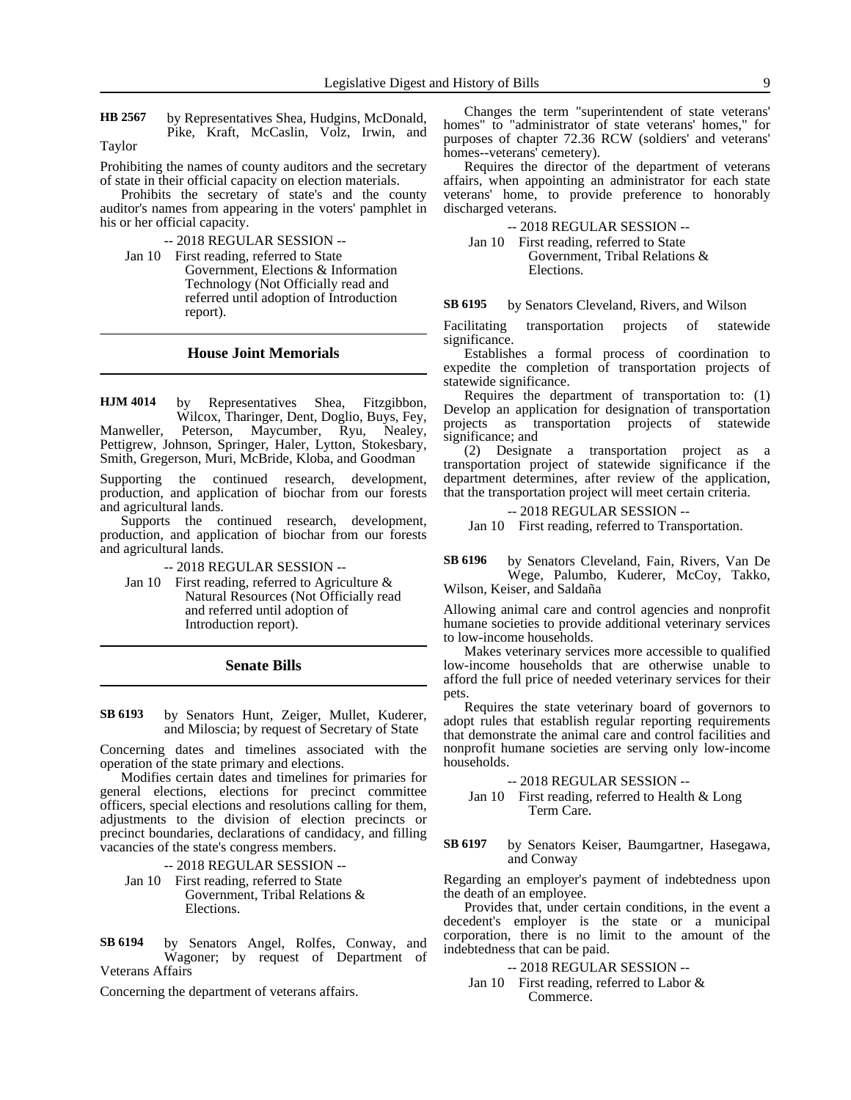by Representatives Shea, Hudgins, McDonald, Pike, Kraft, McCaslin, Volz, Irwin, and **HB 2567**

Taylor

Prohibiting the names of county auditors and the secretary of state in their official capacity on election materials.

Prohibits the secretary of state's and the county auditor's names from appearing in the voters' pamphlet in his or her official capacity.

-- 2018 REGULAR SESSION --

Jan 10 First reading, referred to State

Government, Elections & Information Technology (Not Officially read and referred until adoption of Introduction report).

# **House Joint Memorials**

by Representatives Shea, Fitzgibbon, Wilcox, Tharinger, Dent, Doglio, Buys, Fey, Manweller, Peterson, Maycumber, Ryu, Nealey, Pettigrew, Johnson, Springer, Haler, Lytton, Stokesbary, Smith, Gregerson, Muri, McBride, Kloba, and Goodman **HJM 4014**

Supporting the continued research, development, production, and application of biochar from our forests and agricultural lands.

Supports the continued research, development, production, and application of biochar from our forests and agricultural lands.

- -- 2018 REGULAR SESSION --
- Jan 10 First reading, referred to Agriculture & Natural Resources (Not Officially read and referred until adoption of Introduction report).

### **Senate Bills**

by Senators Hunt, Zeiger, Mullet, Kuderer, and Miloscia; by request of Secretary of State **SB 6193**

Concerning dates and timelines associated with the operation of the state primary and elections.

Modifies certain dates and timelines for primaries for general elections, elections for precinct committee officers, special elections and resolutions calling for them, adjustments to the division of election precincts or precinct boundaries, declarations of candidacy, and filling vacancies of the state's congress members.

-- 2018 REGULAR SESSION --

Jan 10 First reading, referred to State Government, Tribal Relations & Elections.

by Senators Angel, Rolfes, Conway, and Wagoner; by request of Department of Veterans Affairs **SB 6194**

Concerning the department of veterans affairs.

Changes the term "superintendent of state veterans' homes" to "administrator of state veterans' homes," for purposes of chapter 72.36 RCW (soldiers' and veterans' homes--veterans' cemetery).

Requires the director of the department of veterans affairs, when appointing an administrator for each state veterans' home, to provide preference to honorably discharged veterans.

-- 2018 REGULAR SESSION --

Jan 10 First reading, referred to State Government, Tribal Relations & Elections.

by Senators Cleveland, Rivers, and Wilson **SB 6195**

Facilitating transportation projects of statewide significance.

Establishes a formal process of coordination to expedite the completion of transportation projects of statewide significance.

Requires the department of transportation to: (1) Develop an application for designation of transportation projects as transportation projects of statewide significance; and

(2) Designate a transportation project as a transportation project of statewide significance if the department determines, after review of the application, that the transportation project will meet certain criteria.

-- 2018 REGULAR SESSION --

Jan 10 First reading, referred to Transportation.

### by Senators Cleveland, Fain, Rivers, Van De Wege, Palumbo, Kuderer, McCoy, Takko, **SB 6196**

Wilson, Keiser, and Saldaña

Allowing animal care and control agencies and nonprofit humane societies to provide additional veterinary services to low-income households.

Makes veterinary services more accessible to qualified low-income households that are otherwise unable to afford the full price of needed veterinary services for their pets.

Requires the state veterinary board of governors to adopt rules that establish regular reporting requirements that demonstrate the animal care and control facilities and nonprofit humane societies are serving only low-income households.

-- 2018 REGULAR SESSION --

Jan 10 First reading, referred to Health & Long Term Care.

by Senators Keiser, Baumgartner, Hasegawa, and Conway **SB 6197**

Regarding an employer's payment of indebtedness upon the death of an employee.

Provides that, under certain conditions, in the event a decedent's employer is the state or a municipal corporation, there is no limit to the amount of the indebtedness that can be paid.

## -- 2018 REGULAR SESSION --

Jan 10 First reading, referred to Labor & Commerce.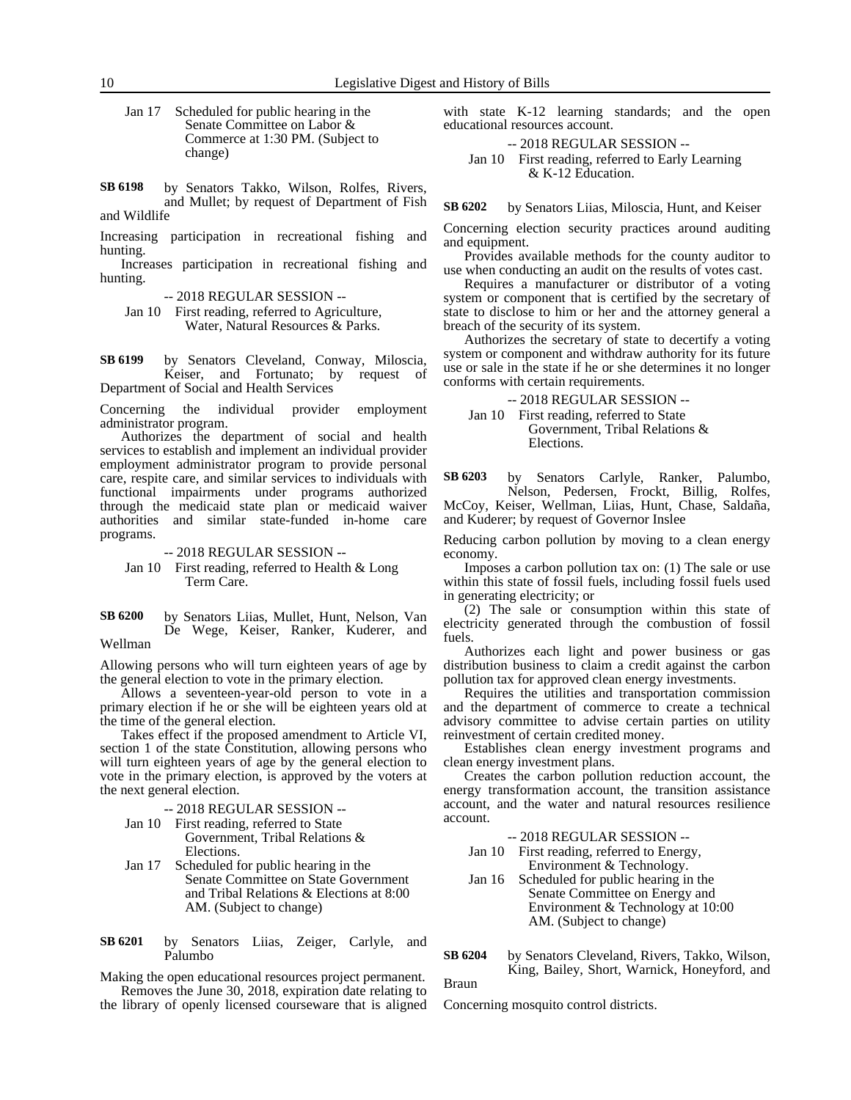Jan 17 Scheduled for public hearing in the Senate Committee on Labor & Commerce at 1:30 PM. (Subject to change)

by Senators Takko, Wilson, Rolfes, Rivers, and Mullet; by request of Department of Fish and Wildlife **SB 6198**

Increasing participation in recreational fishing and hunting.

Increases participation in recreational fishing and hunting.

-- 2018 REGULAR SESSION --

Jan 10 First reading, referred to Agriculture, Water, Natural Resources & Parks.

by Senators Cleveland, Conway, Miloscia, Keiser, and Fortunato; by request of Department of Social and Health Services **SB 6199**

Concerning the individual provider employment administrator program.

Authorizes the department of social and health services to establish and implement an individual provider employment administrator program to provide personal care, respite care, and similar services to individuals with functional impairments under programs authorized through the medicaid state plan or medicaid waiver authorities and similar state-funded in-home care programs.

-- 2018 REGULAR SESSION --

Jan 10 First reading, referred to Health & Long Term Care.

by Senators Liias, Mullet, Hunt, Nelson, Van De Wege, Keiser, Ranker, Kuderer, and Wellman **SB 6200**

Allowing persons who will turn eighteen years of age by the general election to vote in the primary election.

Allows a seventeen-year-old person to vote in a primary election if he or she will be eighteen years old at the time of the general election.

Takes effect if the proposed amendment to Article VI, section 1 of the state Constitution, allowing persons who will turn eighteen years of age by the general election to vote in the primary election, is approved by the voters at the next general election.

-- 2018 REGULAR SESSION --

- Jan 10 First reading, referred to State Government, Tribal Relations & Elections.
- Jan 17 Scheduled for public hearing in the Senate Committee on State Government and Tribal Relations & Elections at 8:00 AM. (Subject to change)

by Senators Liias, Zeiger, Carlyle, and Palumbo **SB 6201**

Making the open educational resources project permanent. Removes the June 30, 2018, expiration date relating to

the library of openly licensed courseware that is aligned

with state K-12 learning standards; and the open educational resources account.

-- 2018 REGULAR SESSION --

Jan 10 First reading, referred to Early Learning & K-12 Education.

by Senators Liias, Miloscia, Hunt, and Keiser **SB 6202**

Concerning election security practices around auditing and equipment.

Provides available methods for the county auditor to use when conducting an audit on the results of votes cast.

Requires a manufacturer or distributor of a voting system or component that is certified by the secretary of state to disclose to him or her and the attorney general a breach of the security of its system.

Authorizes the secretary of state to decertify a voting system or component and withdraw authority for its future use or sale in the state if he or she determines it no longer conforms with certain requirements.

-- 2018 REGULAR SESSION --

Jan 10 First reading, referred to State Government, Tribal Relations & Elections.

by Senators Carlyle, Ranker, Palumbo, Nelson, Pedersen, Frockt, Billig, Rolfes, McCoy, Keiser, Wellman, Liias, Hunt, Chase, Saldaña, **SB 6203**

and Kuderer; by request of Governor Inslee

Reducing carbon pollution by moving to a clean energy economy.

Imposes a carbon pollution tax on: (1) The sale or use within this state of fossil fuels, including fossil fuels used in generating electricity; or

(2) The sale or consumption within this state of electricity generated through the combustion of fossil fuels.

Authorizes each light and power business or gas distribution business to claim a credit against the carbon pollution tax for approved clean energy investments.

Requires the utilities and transportation commission and the department of commerce to create a technical advisory committee to advise certain parties on utility reinvestment of certain credited money.

Establishes clean energy investment programs and clean energy investment plans.

Creates the carbon pollution reduction account, the energy transformation account, the transition assistance account, and the water and natural resources resilience account.

# -- 2018 REGULAR SESSION --

Jan 10 First reading, referred to Energy, Environment & Technology.

Jan 16 Scheduled for public hearing in the Senate Committee on Energy and Environment & Technology at 10:00 AM. (Subject to change)

by Senators Cleveland, Rivers, Takko, Wilson, King, Bailey, Short, Warnick, Honeyford, and **SB 6204**

Braun

Concerning mosquito control districts.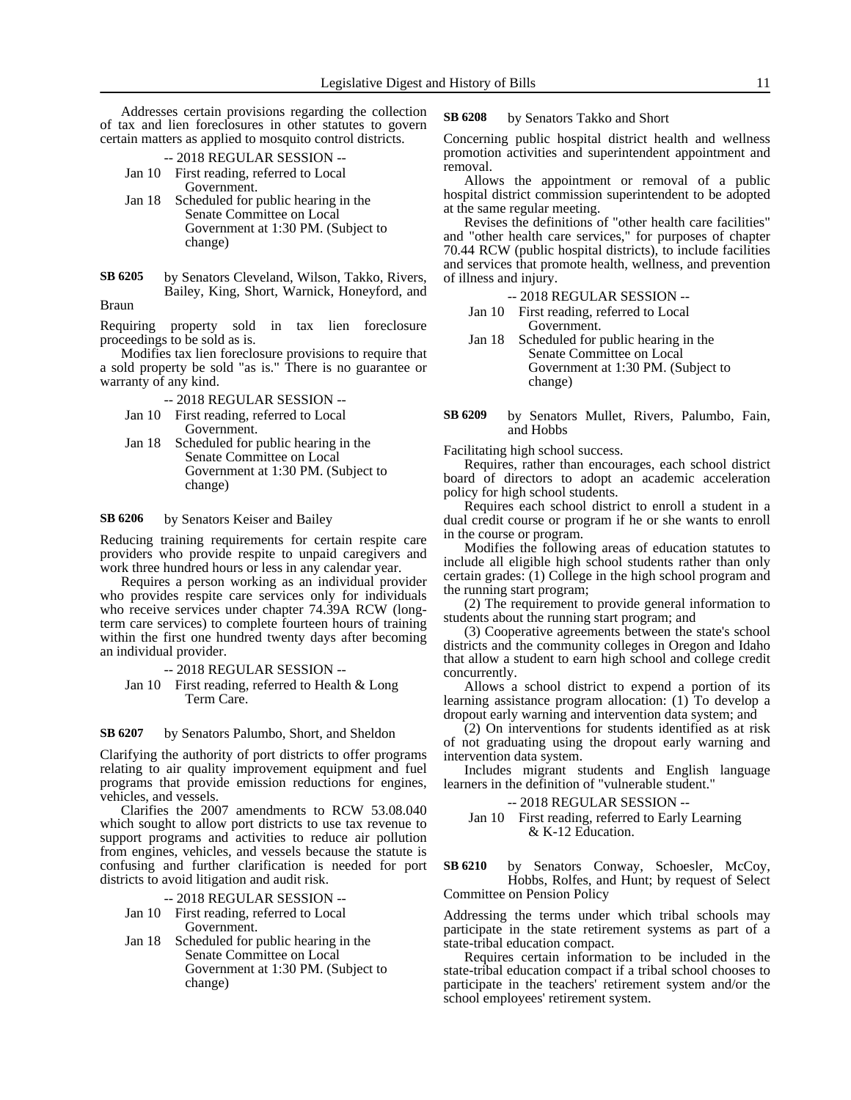Addresses certain provisions regarding the collection of tax and lien foreclosures in other statutes to govern certain matters as applied to mosquito control districts.

- -- 2018 REGULAR SESSION -- Jan 10 First reading, referred to Local Government.
- Jan 18 Scheduled for public hearing in the Senate Committee on Local Government at 1:30 PM. (Subject to change)
- by Senators Cleveland, Wilson, Takko, Rivers, Bailey, King, Short, Warnick, Honeyford, and Braun **SB 6205**

Requiring property sold in tax lien foreclosure proceedings to be sold as is.

Modifies tax lien foreclosure provisions to require that a sold property be sold "as is." There is no guarantee or warranty of any kind.

- -- 2018 REGULAR SESSION --
- Jan 10 First reading, referred to Local Government.
- Jan 18 Scheduled for public hearing in the Senate Committee on Local Government at 1:30 PM. (Subject to change)

#### by Senators Keiser and Bailey **SB 6206**

Reducing training requirements for certain respite care providers who provide respite to unpaid caregivers and work three hundred hours or less in any calendar year.

Requires a person working as an individual provider who provides respite care services only for individuals who receive services under chapter 74.39A RCW (longterm care services) to complete fourteen hours of training within the first one hundred twenty days after becoming an individual provider.

-- 2018 REGULAR SESSION -- Jan 10 First reading, referred to Health & Long Term Care.

#### by Senators Palumbo, Short, and Sheldon **SB 6207**

Clarifying the authority of port districts to offer programs relating to air quality improvement equipment and fuel programs that provide emission reductions for engines, vehicles, and vessels.

Clarifies the 2007 amendments to RCW 53.08.040 which sought to allow port districts to use tax revenue to support programs and activities to reduce air pollution from engines, vehicles, and vessels because the statute is confusing and further clarification is needed for port districts to avoid litigation and audit risk.

-- 2018 REGULAR SESSION --

- Jan 10 First reading, referred to Local Government.
- Jan 18 Scheduled for public hearing in the Senate Committee on Local Government at 1:30 PM. (Subject to change)

#### by Senators Takko and Short **SB 6208**

Concerning public hospital district health and wellness promotion activities and superintendent appointment and removal.

Allows the appointment or removal of a public hospital district commission superintendent to be adopted at the same regular meeting.

Revises the definitions of "other health care facilities" and "other health care services," for purposes of chapter 70.44 RCW (public hospital districts), to include facilities and services that promote health, wellness, and prevention of illness and injury.

- -- 2018 REGULAR SESSION --
- Jan 10 First reading, referred to Local Government.
- Jan 18 Scheduled for public hearing in the Senate Committee on Local Government at 1:30 PM. (Subject to change)
- by Senators Mullet, Rivers, Palumbo, Fain, and Hobbs **SB 6209**

Facilitating high school success.

Requires, rather than encourages, each school district board of directors to adopt an academic acceleration policy for high school students.

Requires each school district to enroll a student in a dual credit course or program if he or she wants to enroll in the course or program.

Modifies the following areas of education statutes to include all eligible high school students rather than only certain grades: (1) College in the high school program and the running start program;

(2) The requirement to provide general information to students about the running start program; and

(3) Cooperative agreements between the state's school districts and the community colleges in Oregon and Idaho that allow a student to earn high school and college credit concurrently.

Allows a school district to expend a portion of its learning assistance program allocation: (1) To develop a dropout early warning and intervention data system; and

(2) On interventions for students identified as at risk of not graduating using the dropout early warning and intervention data system.

Includes migrant students and English language learners in the definition of "vulnerable student."

### -- 2018 REGULAR SESSION --

Jan 10 First reading, referred to Early Learning & K-12 Education.

by Senators Conway, Schoesler, McCoy, Hobbs, Rolfes, and Hunt; by request of Select Committee on Pension Policy **SB 6210**

Addressing the terms under which tribal schools may participate in the state retirement systems as part of a state-tribal education compact.

Requires certain information to be included in the state-tribal education compact if a tribal school chooses to participate in the teachers' retirement system and/or the school employees' retirement system.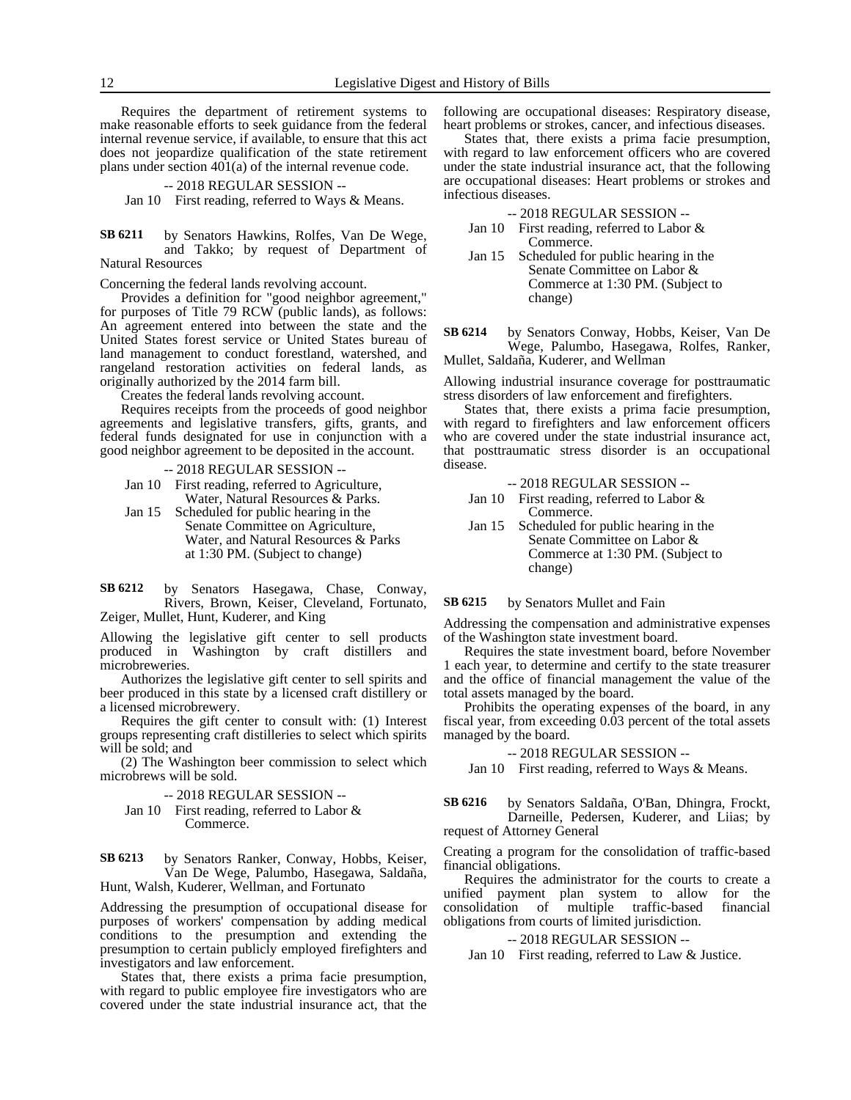Requires the department of retirement systems to make reasonable efforts to seek guidance from the federal internal revenue service, if available, to ensure that this act does not jeopardize qualification of the state retirement plans under section 401(a) of the internal revenue code.

### -- 2018 REGULAR SESSION --

Jan 10 First reading, referred to Ways & Means.

by Senators Hawkins, Rolfes, Van De Wege, and Takko; by request of Department of Natural Resources **SB 6211**

Concerning the federal lands revolving account.

Provides a definition for "good neighbor agreement," for purposes of Title 79 RCW (public lands), as follows: An agreement entered into between the state and the United States forest service or United States bureau of land management to conduct forestland, watershed, and rangeland restoration activities on federal lands, as originally authorized by the 2014 farm bill.

Creates the federal lands revolving account.

Requires receipts from the proceeds of good neighbor agreements and legislative transfers, gifts, grants, and federal funds designated for use in conjunction with a good neighbor agreement to be deposited in the account.

-- 2018 REGULAR SESSION --

Jan 10 First reading, referred to Agriculture, Water, Natural Resources & Parks.

Jan 15 Scheduled for public hearing in the Senate Committee on Agriculture, Water, and Natural Resources & Parks at 1:30 PM. (Subject to change)

by Senators Hasegawa, Chase, Conway, Rivers, Brown, Keiser, Cleveland, Fortunato, Zeiger, Mullet, Hunt, Kuderer, and King **SB 6212**

Allowing the legislative gift center to sell products produced in Washington by craft distillers microbreweries.

Authorizes the legislative gift center to sell spirits and beer produced in this state by a licensed craft distillery or a licensed microbrewery.

Requires the gift center to consult with: (1) Interest groups representing craft distilleries to select which spirits will be sold; and

(2) The Washington beer commission to select which microbrews will be sold.

- -- 2018 REGULAR SESSION --
- Jan 10 First reading, referred to Labor & Commerce.

by Senators Ranker, Conway, Hobbs, Keiser, Van De Wege, Palumbo, Hasegawa, Saldaña, Hunt, Walsh, Kuderer, Wellman, and Fortunato **SB 6213**

Addressing the presumption of occupational disease for purposes of workers' compensation by adding medical conditions to the presumption and extending the presumption to certain publicly employed firefighters and investigators and law enforcement.

States that, there exists a prima facie presumption, with regard to public employee fire investigators who are covered under the state industrial insurance act, that the

following are occupational diseases: Respiratory disease, heart problems or strokes, cancer, and infectious diseases.

States that, there exists a prima facie presumption, with regard to law enforcement officers who are covered under the state industrial insurance act, that the following are occupational diseases: Heart problems or strokes and infectious diseases.

-- 2018 REGULAR SESSION --

- Jan 10 First reading, referred to Labor & Commerce.
- Jan 15 Scheduled for public hearing in the Senate Committee on Labor & Commerce at 1:30 PM. (Subject to change)

by Senators Conway, Hobbs, Keiser, Van De Wege, Palumbo, Hasegawa, Rolfes, Ranker, Mullet, Saldaña, Kuderer, and Wellman **SB 6214**

Allowing industrial insurance coverage for posttraumatic stress disorders of law enforcement and firefighters.

States that, there exists a prima facie presumption, with regard to firefighters and law enforcement officers who are covered under the state industrial insurance act, that posttraumatic stress disorder is an occupational disease.

-- 2018 REGULAR SESSION --

Jan 10 First reading, referred to Labor & Commerce.

Jan 15 Scheduled for public hearing in the Senate Committee on Labor & Commerce at 1:30 PM. (Subject to change)

by Senators Mullet and Fain **SB 6215**

Addressing the compensation and administrative expenses of the Washington state investment board.

Requires the state investment board, before November 1 each year, to determine and certify to the state treasurer and the office of financial management the value of the total assets managed by the board.

Prohibits the operating expenses of the board, in any fiscal year, from exceeding 0.03 percent of the total assets managed by the board.

-- 2018 REGULAR SESSION --

Jan 10 First reading, referred to Ways & Means.

by Senators Saldaña, O'Ban, Dhingra, Frockt, Darneille, Pedersen, Kuderer, and Liias; by request of Attorney General **SB 6216**

Creating a program for the consolidation of traffic-based financial obligations.

Requires the administrator for the courts to create a unified payment plan system to allow for the consolidation of multiple traffic-based financial obligations from courts of limited jurisdiction.

### -- 2018 REGULAR SESSION --

Jan 10 First reading, referred to Law & Justice.